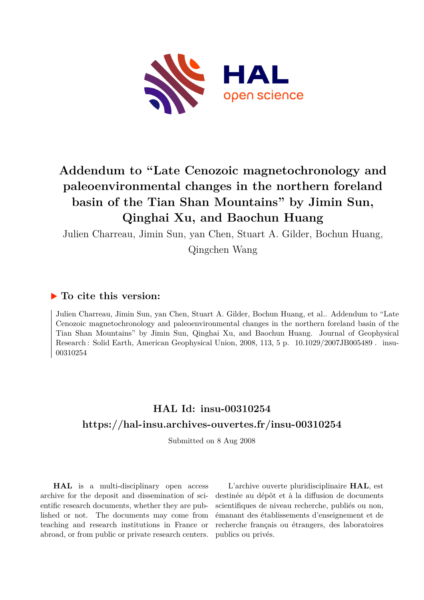

# **Addendum to "Late Cenozoic magnetochronology and paleoenvironmental changes in the northern foreland basin of the Tian Shan Mountains" by Jimin Sun, Qinghai Xu, and Baochun Huang**

Julien Charreau, Jimin Sun, yan Chen, Stuart A. Gilder, Bochun Huang, Qingchen Wang

#### **To cite this version:**

Julien Charreau, Jimin Sun, yan Chen, Stuart A. Gilder, Bochun Huang, et al.. Addendum to "Late Cenozoic magnetochronology and paleoenvironmental changes in the northern foreland basin of the Tian Shan Mountains" by Jimin Sun, Qinghai Xu, and Baochun Huang. Journal of Geophysical Research : Solid Earth, American Geophysical Union, 2008, 113, 5 p. 10.1029/2007JB005489. insu-00310254ff

### **HAL Id: insu-00310254 <https://hal-insu.archives-ouvertes.fr/insu-00310254>**

Submitted on 8 Aug 2008

**HAL** is a multi-disciplinary open access archive for the deposit and dissemination of scientific research documents, whether they are published or not. The documents may come from teaching and research institutions in France or abroad, or from public or private research centers.

L'archive ouverte pluridisciplinaire **HAL**, est destinée au dépôt et à la diffusion de documents scientifiques de niveau recherche, publiés ou non, émanant des établissements d'enseignement et de recherche français ou étrangers, des laboratoires publics ou privés.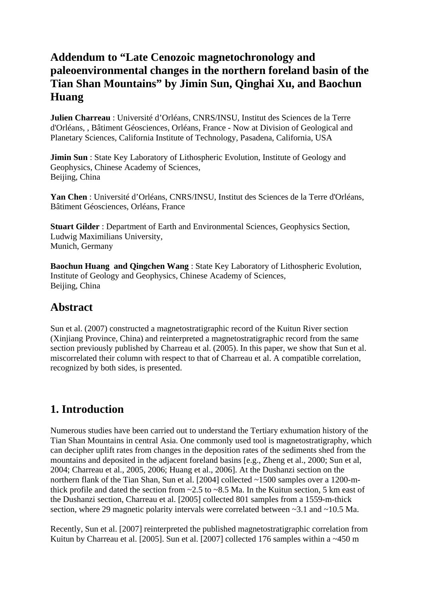### **Addendum to "Late Cenozoic magnetochronology and paleoenvironmental changes in the northern foreland basin of the Tian Shan Mountains" by Jimin Sun, Qinghai Xu, and Baochun Huang**

**Julien Charreau** : Université d'Orléans, CNRS/INSU, Institut des Sciences de la Terre d'Orléans, , Bâtiment Géosciences, Orléans, France - Now at Division of Geological and Planetary Sciences, California Institute of Technology, Pasadena, California, USA

**Jimin Sun**: State Key Laboratory of Lithospheric Evolution, Institute of Geology and Geophysics, Chinese Academy of Sciences, Beijing, China

**Yan Chen** : Université d'Orléans, CNRS/INSU, Institut des Sciences de la Terre d'Orléans, Bâtiment Géosciences, Orléans, France

**Stuart Gilder** : Department of Earth and Environmental Sciences, Geophysics Section, Ludwig Maximilians University, Munich, Germany

**Baochun Huang and Qingchen Wang** : State Key Laboratory of Lithospheric Evolution, Institute of Geology and Geophysics, Chinese Academy of Sciences, Beijing, China

#### **Abstract**

Sun et al. (2007) constructed a magnetostratigraphic record of the Kuitun River section (Xinjiang Province, China) and reinterpreted a magnetostratigraphic record from the same section previously published by Charreau et al. (2005). In this paper, we show that Sun et al. miscorrelated their column with respect to that of Charreau et al. A compatible correlation, recognized by both sides, is presented.

### **1. Introduction**

Numerous studies have been carried out to understand the Tertiary exhumation history of the Tian Shan Mountains in central Asia. One commonly used tool is magnetostratigraphy, which can decipher uplift rates from changes in the deposition rates of the sediments shed from the mountains and deposited in the adjacent foreland basins [e.g., Zheng et al., 2000; Sun et al, 2004; Charreau et al., 2005, 2006; Huang et al., 2006]. At the Dushanzi section on the northern flank of the Tian Shan, Sun et al. [2004] collected ~1500 samples over a 1200-mthick profile and dated the section from  $\sim$  2.5 to  $\sim$  8.5 Ma. In the Kuitun section, 5 km east of the Dushanzi section, Charreau et al. [2005] collected 801 samples from a 1559-m-thick section, where 29 magnetic polarity intervals were correlated between  $\sim$ 3.1 and  $\sim$ 10.5 Ma.

Recently, Sun et al. [2007] reinterpreted the published magnetostratigraphic correlation from Kuitun by Charreau et al. [2005]. Sun et al. [2007] collected 176 samples within a ~450 m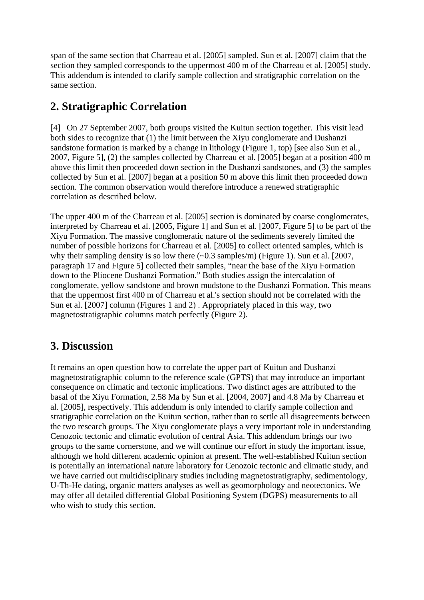span of the same section that Charreau et al. [2005] sampled. Sun et al. [2007] claim that the section they sampled corresponds to the uppermost 400 m of the Charreau et al. [2005] study. This addendum is intended to clarify sample collection and stratigraphic correlation on the same section.

## **2. Stratigraphic Correlation**

[4] On 27 September 2007, both groups visited the Kuitun section together. This visit lead both sides to recognize that (1) the limit between the Xiyu conglomerate and Dushanzi sandstone formation is marked by a change in lithology (Figure 1, top) [see also Sun et al., 2007, Figure 5], (2) the samples collected by Charreau et al. [2005] began at a position 400 m above this limit then proceeded down section in the Dushanzi sandstones, and (3) the samples collected by Sun et al. [2007] began at a position 50 m above this limit then proceeded down section. The common observation would therefore introduce a renewed stratigraphic correlation as described below.

The upper 400 m of the Charreau et al. [2005] section is dominated by coarse conglomerates, interpreted by Charreau et al. [2005, Figure 1] and Sun et al. [2007, Figure 5] to be part of the Xiyu Formation. The massive conglomeratic nature of the sediments severely limited the number of possible horizons for Charreau et al. [2005] to collect oriented samples, which is why their sampling density is so low there  $(-0.3 \text{ samples/m})$  (Figure 1). Sun et al. [2007, paragraph 17 and Figure 5] collected their samples, "near the base of the Xiyu Formation down to the Pliocene Dushanzi Formation." Both studies assign the intercalation of conglomerate, yellow sandstone and brown mudstone to the Dushanzi Formation. This means that the uppermost first 400 m of Charreau et al.'s section should not be correlated with the Sun et al. [2007] column (Figures 1 and 2) . Appropriately placed in this way, two magnetostratigraphic columns match perfectly (Figure 2).

### **3. Discussion**

It remains an open question how to correlate the upper part of Kuitun and Dushanzi magnetostratigraphic column to the reference scale (GPTS) that may introduce an important consequence on climatic and tectonic implications. Two distinct ages are attributed to the basal of the Xiyu Formation, 2.58 Ma by Sun et al. [2004, 2007] and 4.8 Ma by Charreau et al. [2005], respectively. This addendum is only intended to clarify sample collection and stratigraphic correlation on the Kuitun section, rather than to settle all disagreements between the two research groups. The Xiyu conglomerate plays a very important role in understanding Cenozoic tectonic and climatic evolution of central Asia. This addendum brings our two groups to the same cornerstone, and we will continue our effort in study the important issue, although we hold different academic opinion at present. The well-established Kuitun section is potentially an international nature laboratory for Cenozoic tectonic and climatic study, and we have carried out multidisciplinary studies including magnetostratigraphy, sedimentology, U-Th-He dating, organic matters analyses as well as geomorphology and neotectonics. We may offer all detailed differential Global Positioning System (DGPS) measurements to all who wish to study this section.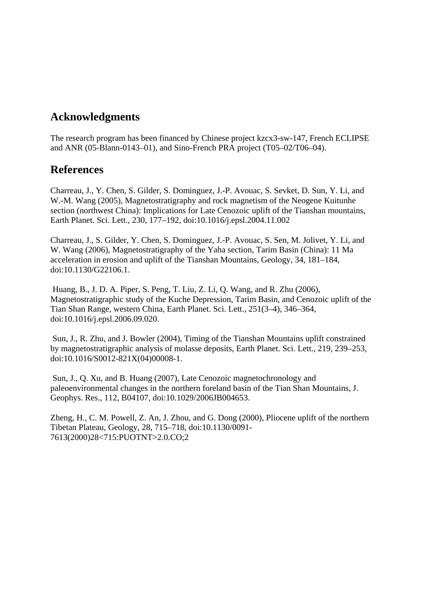### **Acknowledgments**

The research program has been financed by Chinese project kzcx3-sw-147, French ECLIPSE and ANR (05-Blann-0143–01), and Sino-French PRA project (T05–02/T06–04).

#### **References**

Charreau, J., Y. Chen, S. Gilder, S. Dominguez, J.-P. Avouac, S. Sevket, D. Sun, Y. Li, and W.-M. Wang (2005), Magnetostratigraphy and rock magnetism of the Neogene Kuitunhe section (northwest China): Implications for Late Cenozoic uplift of the Tianshan mountains, Earth Planet. Sci. Lett., 230, 177–192, doi:10.1016/j.epsl.2004.11.002

Charreau, J., S. Gilder, Y. Chen, S. Dominguez, J.-P. Avouac, S. Sen, M. Jolivet, Y. Li, and W. Wang (2006), Magnetostratigraphy of the Yaha section, Tarim Basin (China): 11 Ma acceleration in erosion and uplift of the Tianshan Mountains, Geology, 34, 181–184, doi:10.1130/G22106.1.

 Huang, B., J. D. A. Piper, S. Peng, T. Liu, Z. Li, Q. Wang, and R. Zhu (2006), Magnetostratigraphic study of the Kuche Depression, Tarim Basin, and Cenozoic uplift of the Tian Shan Range, western China, Earth Planet. Sci. Lett., 251(3–4), 346–364, doi:10.1016/j.epsl.2006.09.020.

 Sun, J., R. Zhu, and J. Bowler (2004), Timing of the Tianshan Mountains uplift constrained by magnetostratigraphic analysis of molasse deposits, Earth Planet. Sci. Lett., 219, 239–253, doi:10.1016/S0012-821X(04)00008-1.

 Sun, J., Q. Xu, and B. Huang (2007), Late Cenozoic magnetochronology and paleoenvironmental changes in the northern foreland basin of the Tian Shan Mountains, J. Geophys. Res., 112, B04107, doi:10.1029/2006JB004653.

Zheng, H., C. M. Powell, Z. An, J. Zhou, and G. Dong (2000), Pliocene uplift of the northern Tibetan Plateau, Geology, 28, 715–718, doi:10.1130/0091- 7613(2000)28<715:PUOTNT>2.0.CO;2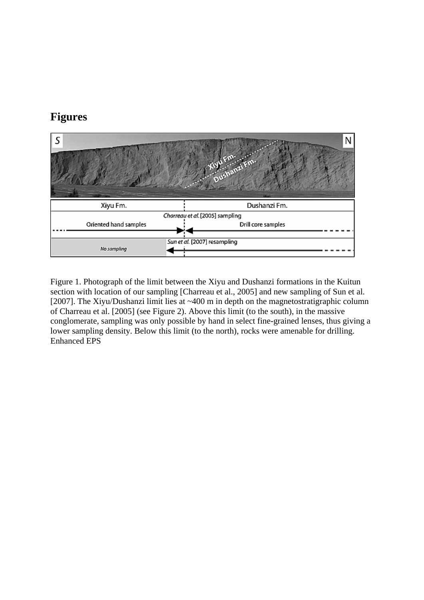### **Figures**



Figure 1. Photograph of the limit between the Xiyu and Dushanzi formations in the Kuitun section with location of our sampling [Charreau et al., 2005] and new sampling of Sun et al. [2007]. The Xiyu/Dushanzi limit lies at ~400 m in depth on the magnetostratigraphic column of Charreau et al. [2005] (see Figure 2). Above this limit (to the south), in the massive conglomerate, sampling was only possible by hand in select fine-grained lenses, thus giving a lower sampling density. Below this limit (to the north), rocks were amenable for drilling. Enhanced EPS